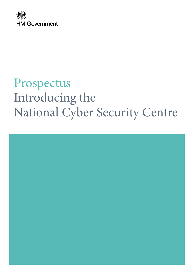

# Prospectus Introducing the National Cyber Security Centre

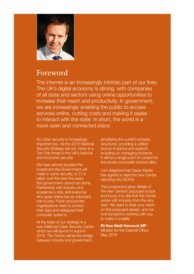

### Foreword

The internet is an increasingly intrinsic part of our lives. The UK's digital economy is strong, with companies of all sizes and sectors using online opportunities to increase their reach and productivity. In government, we are increasingly enabling the public to access services online, cutting costs and making it easier to interact with the state. In short, the world is a more open and connected place.

So cyber security is increasingly important too. As the 2015 National Security Strategy set out, cyber is a Tier One threat to the UK's national and economic security.

We have almost doubled the investment the Government will make in cyber security, to £1.9 billion over the next five years. But government cannot act alone. Partnership with industry and academia is vital, and everyone who goes online has an important role to play. Public and private organisations need to protect their data and safeguard their computer systems.

At the heart of our strategy is a new National Cyber Security Centre which we will launch in autumn 2016. The Centre will be the bridge between industry and government,

simplifying the current complex structures, providing a unified source of advice and support, including on managing incidents. It will be a single point of contact for the private and public sectors alike.

I am delighted that Ciaran Martin has agreed to lead the new Centre, reporting into GCHQ.

This prospectus gives details of the new Centre's proposed scope and focus. It is vital that the Centre works with industry from the very start. We want to hear your views on this proposed design, and we look forward to working with you to make it a reality.

**Rt Hon Matt Hancock MP** Minister for the Cabinet Office May 2016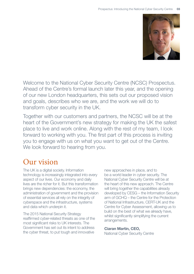

Welcome to the National Cyber Security Centre (NCSC) Prospectus. Ahead of the Centre's formal launch later this year, and the opening of our new London headquarters, this sets out our proposed vision and goals, describes who we are, and the work we will do to transform cyber security in the UK.

Together with our customers and partners, the NCSC will be at the heart of the Government's new strategy for making the UK the safest place to live and work online. Along with the rest of my team, I look forward to working with you. The first part of this process is inviting you to engage with us on what you want to get out of the Centre. We look forward to hearing from you.

### Our vision

The UK is a digital society. Information technology is increasingly integrated into every aspect of our lives. Our economy and daily lives are the richer for it. But this transformation brings new dependencies: the economy, the administration of government and the provision of essential services all rely on the integrity of cyberspace and the infrastructure, systems and data which underpin it.

The 2015 National Security Strategy reaffirmed cyber-related threats as one of the most significant risks to UK interests. The Government has set out its intent to address the cyber threat, to put tough and innovative

new approaches in place, and to be a world leader in cyber security. The National Cyber Security Centre will be at the heart of this new approach. The Centre will bring together the capabilities already developed by CESG – the Information Security arm of GCHQ – the Centre for the Protection of National Infrastructure, CERT-UK and the Centre for Cyber Assessment, allowing us to build on the best of what we already have, whilst significantly simplifying the current arrangements.

#### **Ciaran Martin, CEO,**

National Cyber Security Centre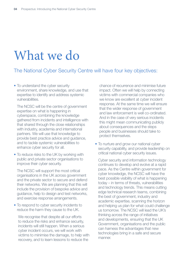### What we do

### The National Cyber Security Centre will have four key objectives:

• To understand the cyber security environment, share knowledge, and use that expertise to identify and address systemic vulnerabilities.

 The NCSC will be the centre of government expertise on what is happening in cyberspace, combining the knowledge gathered from incidents and intelligence with that shared through the close relationships with industry, academia and international partners. We will use that knowledge to provide best practice advice and guidance, and to tackle systemic vulnerabilities to enhance cyber security for all.

• To reduce risks to the UK by working with public and private sector organisations to improve their cyber security.

 The NCSC will support the most critical organisations in the UK across government and the private sector to secure and defend their networks. We are planning that this will include the provision of bespoke advice and guidance, help to design and test networks, and exercise response arrangements.

• To respond to cyber security incidents to reduce the harm they cause to the UK.

 We recognise that despite all our efforts to reduce the risks and enhance security, incidents will still happen. When a serious cyber incident occurs, we will work with victims to minimise the damage, to help with recovery, and to learn lessons to reduce the

chance of recurrence and minimise future impact. Often we will help by connecting victims with commercial companies who we know are excellent at cyber incident response. At the same time we will ensure that the wider response of government and law enforcement is well co-ordinated. And in the case of very serious incidents this might mean communicating publicly about consequences and the steps people and businesses should take to protect themselves.

• To nurture and grow our national cyber security capability, and provide leadership on critical national cyber security issues.

 Cyber security and information technology continues to develop and evolve at a rapid pace. As the Centre within government for cyber knowledge, the NCSC will have the best possible visibility of what is happening today – in terms of threats, vulnerabilities and technology trends. This means cutting edge technical research teams, combining the best of government, industry and academic expertise, scanning the horizon and helping us plan for what could challenge us tomorrow. The NCSC will lead the UK's thinking across the range of initiatives and developments, ensuring that the UK Government, organisations and the public can harness the advantages that new technologies bring in a safe and secure manner.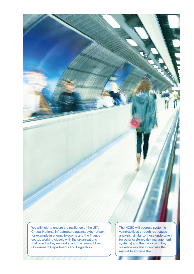We will help to ensure the resilience of the UK's Critical National Infrastructure against cyber attack, for example in energy, telecoms and the finance sector, working closely with the organisations that own the key networks, and the relevant Lead Government Departments and Regulators.

The NCSC will address systemic vulnerabilities through root cause analysis (similar to those undertaken for other systemic risk management systems) and then work with key stakeholders and incentivise the market to address them.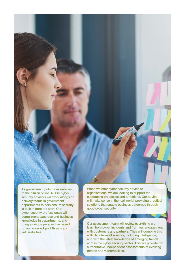

As government puts more services to the citizen online, NCSC cyber security advisors will work alongside delivery teams in government departments to help ensure security is built in from the start. Our cyber security professionals will compliment expertise and business knowledge in departments, and bring a unique perspective based on our knowledge of threats and vulnerabilities.

When we offer cyber security advice to organisations, we are looking to support the customer's processes and ambitions. Our advice will make sense in the real world, providing practical solutions that enable business outcomes through good cyber security.

Our assessment team will review everything we learn from cyber incidents and from our engagement with customers and partners. They will combine this with data from all sources, including intelligence, and with the latest knowledge of emerging trends across the cyber security sector. This will provide for authoritative, independent assessments of evolving threats and vulnerabilities.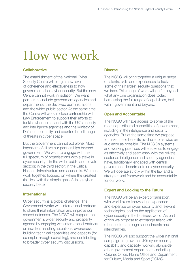# How we work

#### **Collaborative**

The establishment of the National Cyber Security Centre will bring a new level of coherence and effectiveness to how government does cyber security. But the new Centre cannot work in isolation. We want partners to include government agencies and departments, the devolved administrations, and the wider public sector. At the same time the Centre will work in close partnership with Law Enforcement to support their efforts to tackle cyber crime, and with the UK's security and intelligence agencies and the Ministry of Defence to identify and counter the full range of threats in cyber space.

But the Government cannot act alone. Most important of all are our partnerships beyond government. We want to engage with the full spectrum of organisations with a stake in cyber security – in the wider public and private sectors; in the third sector; in the Critical National Infrastructure and academia. We must work together, focused on where the greatest risk lies, with the simple goal of doing cyber security better.

#### **International**

Cyber security is a global challenge. The Government works with international partners to share threat information and improve our shared defences. The NCSC will support the government's wider security and prosperity agenda by engaging with international partners on incident handling, situational awareness, building technical capabilities and capacity (for example through exercising), and contributing to broader cyber security discussions.

#### **Diverse**

The NCSC will bring together a unique range of talents, skills and experiences to tackle some of the hardest security questions that we face. This range of work will go far beyond what any one organisation does today, harnessing the full range of capabilities, both within government and beyond.

#### **Open and Accountable**

The NCSC will have access to some of the most sophisticated capabilities of government, including in the intelligence and security agencies. But at the same time we propose to make these benefits available to as wide an audience as possible. The NCSC's systems and working practices will enable us to engage as effectively and seamlessly with the private sector as intelligence and security agencies have, traditionally, engaged with central government departments on cyber security. We will operate strictly within the law and a strong ethical framework and be accountable for our work.

#### **Expert and Looking to the Future**

The NCSC will be an expert organisation, with world class knowledge, experience and expertise on cyber security and relevant technologies, and on the application of cyber security in the business world. As part of this we propose to exchange talent with other sectors through secondments and interchanges.

The NCSC will also support the wider national campaign to grow the UK's cyber security capability and capacity, working alongside other government departments including Cabinet Office, Home Office and Department for Culture, Media and Sport (DCMS).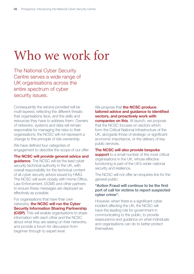# Who we work for

The National Cyber Security Centre serves a wide range of UK organisations across the entire spectrum of cyber security issues.

Consequently the service provided will be multi-layered, reflecting the different threats that organisations face, and the skills and resources they have to address them. Owners of networks, systems and data will remain responsible for managing the risks to their organisations; the NCSC will not represent a change to this principle of risk-ownership.

We have defined four categories of engagement to describe the scope of our offer:

**The NCSC will provide general advice and guidance**. The NCSC will be the lead cyber security technical authority in the UK, with overall responsibility for the technical content of all cyber security advice issued by HMG. The NCSC will work closely with Home Office, Law Enforcement, DCMS and other partners to ensure these messages are deployed as effectively as possible.

For organisations that have their own networks, **the NCSC will run the Cyber Security Information Sharing Partnership (CiSP)**. This will enable organisations to share information with each other and the NCSC about what they are seeing on their networks, and provide a forum for discussion from beginner through to expert level.

#### We propose that **the NCSC produce tailored advice and guidance to identified sectors, and proactively work with**

**companies on this.** At launch, we propose that the NCSC focuses on sectors which form the Critical National Infrastructure of the UK, alongside those of strategic or significant economic importance, or the delivery of key public services.

#### **The NCSC will also provide bespoke**

**support** to a small number of the most critical organisations in the UK, whose effective functioning is part of the UK's wider national security and resilience.

The NCSC will not offer an enquiries line for the general public:

#### **"Action Fraud will continue to be the first port of call for victims to report suspected cyber crime".**

However, when there is a significant cyber incident affecting the UK, the NCSC will have the leading role for government in communicating to the public, to provide reassurance and guidance on what individuals and organisations can do to better protect themselves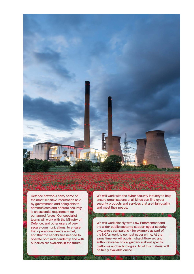

Defence networks carry some of the most sensitive information held by government, and being able to communicate and operate securely is an essential requirement for our armed forces. Our specialist teams will work with the Ministry of Defence, and other users of very secure communications, to ensure that operational needs are met, and that the capabilities needed to operate both independently and with our allies are available in the future.

We will work with the cyber security industry to help ensure organisations of all kinds can find cyber security products and services that are high quality and meet their needs.

**A District Monarchille, A District Co.** 

We will work closely with Law Enforcement and the wider public sector to support cyber security awareness campaigns – for example as part of the NCA's work to combat cyber crime. At the same time we will publish straightforward and authoritative technical guidance about specific platforms and technologies. All of this material will be freely available online.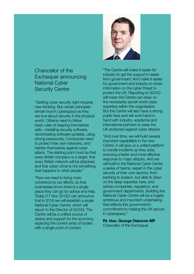### Chancellor of the Exchequer announcing National Cyber Security Centre

"Getting cyber security right requires new thinking. But certain principles remain true in cyberspace as they are true about security in the physical world. Citizens need to follow basic rules of keeping themselves safe – installing security software, downloading software updates, using strong passwords. Companies need to protect their own networks, and harden themselves against cyber attack. The starting point must be that every British company is a target, that every British network will be attacked, and that cyber crime is not something that happens to other people."

"Now we need to bring more coherence to our efforts, so that businesses know there is a single place they can go for advice and help. Today [17 Nov 2015] I can announce that in 2016 we will establish a single National Cyber Centre, which will report to the Director of GCHQ. The Centre will be a unified source of advice and support for the economy, replacing the current array of bodies with a single point of contact.



"The Centre will make it easier for industry to get the support it needs from government. And make it easier for government and industry to share information on the cyber threat to protect the UK. Reporting to GCHQ will mean the Centre can draw on the necessarily secret world-class expertise within this organisation. But the Centre will also have a strong public face and will work hand in hand with industry, academia and international partners to keep the UK protected against cyber attacks.

"And over time, we will build several important capabilities in the new Centre. It will give us a unified platform to handle incidents as they arise, ensuring a faster and more effective response to major attacks. And we will build in the National Cyber Centre a series of teams, expert in the cyber security of their own sectors, from banking to aviation, but able to draw on the deep expertise here, and advise companies, regulators, and government departments. Building the National Cyber Centre will be a hugely ambitious and important undertaking that reflects this government's commitment to making the UK secure in cyberspace."

**Rt. Hon. George Osborne MP**  Chancellor of the Exchequer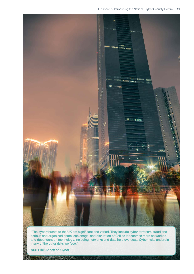

"The cyber threats to the UK are significant and varied. They include cyber terrorism, fraud and serious and organised crime, espionage, and disruption of CNI as it becomes more networked and dependent on technology, including networks and data held overseas. Cyber risks underpin many of the other risks we face."

**NSS Risk Annex on Cyber**